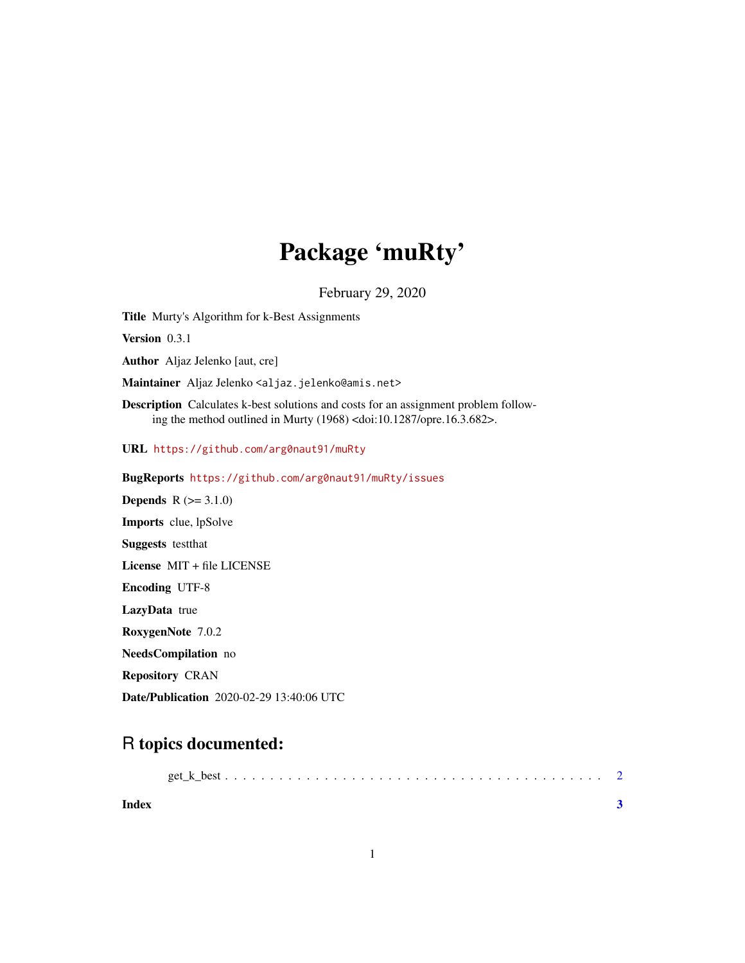## Package 'muRty'

February 29, 2020

Title Murty's Algorithm for k-Best Assignments

Version 0.3.1

Author Aljaz Jelenko [aut, cre]

Maintainer Aljaz Jelenko <aljaz.jelenko@amis.net>

Description Calculates k-best solutions and costs for an assignment problem following the method outlined in Murty (1968) <doi:10.1287/opre.16.3.682>.

URL <https://github.com/arg0naut91/muRty>

BugReports <https://github.com/arg0naut91/muRty/issues>

**Depends**  $R$  ( $>= 3.1.0$ ) Imports clue, lpSolve Suggests testthat License MIT + file LICENSE Encoding UTF-8 LazyData true RoxygenNote 7.0.2 NeedsCompilation no Repository CRAN Date/Publication 2020-02-29 13:40:06 UTC

### R topics documented:

| Index |  |  |  |  |  |  |  |  |  |  |  |  |  |
|-------|--|--|--|--|--|--|--|--|--|--|--|--|--|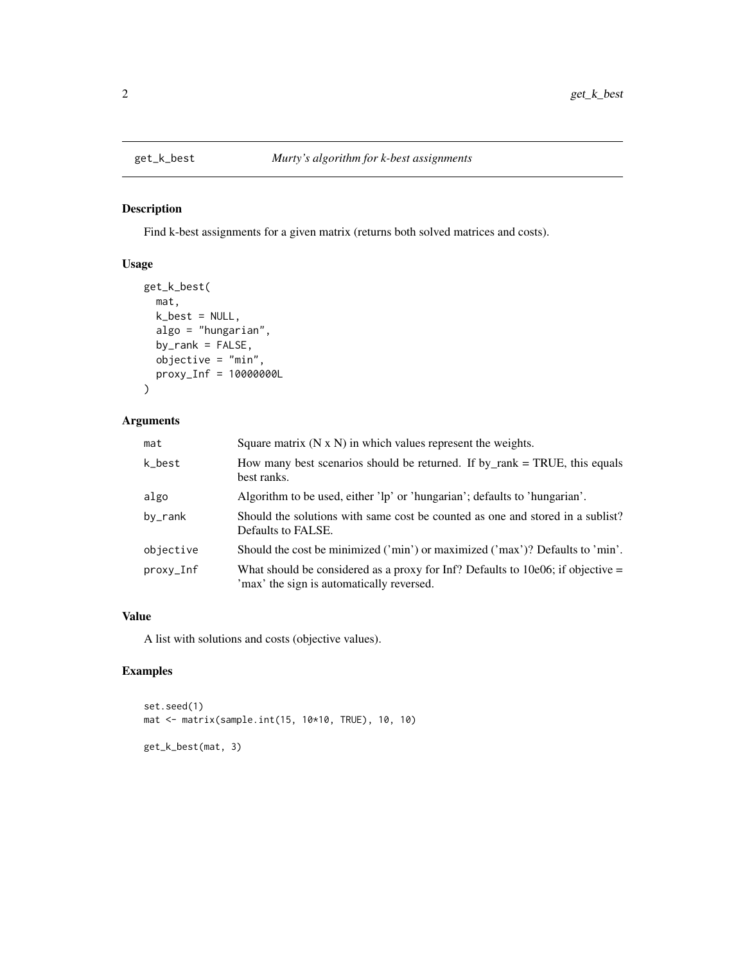#### Description

Find k-best assignments for a given matrix (returns both solved matrices and costs).

#### Usage

```
get_k_best(
 mat,
 k\_best = NULL,algo = "hungarian",
 by_rank = FALSE,objective = "min",
 proxy_Inf = 10000000L
\mathcal{L}
```
#### Arguments

| mat       | Square matrix $(N \times N)$ in which values represent the weights.                                                            |
|-----------|--------------------------------------------------------------------------------------------------------------------------------|
| k_best    | How many best scenarios should be returned. If by rank $=$ TRUE, this equals<br>best ranks.                                    |
| algo      | Algorithm to be used, either 'lp' or 'hungarian'; defaults to 'hungarian'.                                                     |
| by_rank   | Should the solutions with same cost be counted as one and stored in a sublist?<br>Defaults to FALSE.                           |
| objective | Should the cost be minimized ('min') or maximized ('max')? Defaults to 'min'.                                                  |
| proxy_Inf | What should be considered as a proxy for Inf? Defaults to 10e06; if objective $=$<br>'max' the sign is automatically reversed. |

#### Value

A list with solutions and costs (objective values).

#### Examples

```
set.seed(1)
mat <- matrix(sample.int(15, 10*10, TRUE), 10, 10)
get_k_best(mat, 3)
```